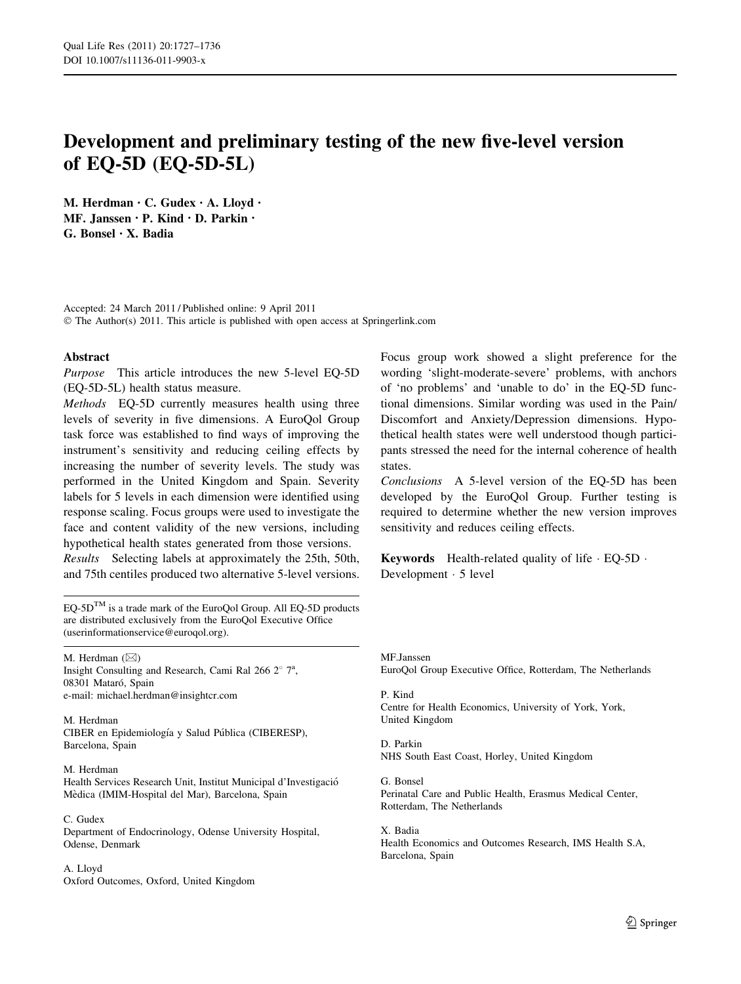# Development and preliminary testing of the new five-level version of EQ-5D (EQ-5D-5L)

M. Herdman • C. Gudex • A. Lloyd • MF. Janssen • P. Kind • D. Parkin • G. Bonsel • X. Badia

Accepted: 24 March 2011 / Published online: 9 April 2011 © The Author(s) 2011. This article is published with open access at Springerlink.com

## Abstract

Purpose This article introduces the new 5-level EQ-5D (EQ-5D-5L) health status measure.

Methods EQ-5D currently measures health using three levels of severity in five dimensions. A EuroQol Group task force was established to find ways of improving the instrument's sensitivity and reducing ceiling effects by increasing the number of severity levels. The study was performed in the United Kingdom and Spain. Severity labels for 5 levels in each dimension were identified using response scaling. Focus groups were used to investigate the face and content validity of the new versions, including hypothetical health states generated from those versions.

Results Selecting labels at approximately the 25th, 50th, and 75th centiles produced two alternative 5-level versions.

 $EQ-5D^{TM}$  is a trade mark of the EuroQol Group. All EQ-5D products are distributed exclusively from the EuroQol Executive Office (userinformationservice@euroqol.org).

M. Herdman  $(\boxtimes)$ 

Insight Consulting and Research, Cami Ral 266  $2^{\circ}$  7<sup>a</sup>, 08301 Mataró, Spain e-mail: michael.herdman@insightcr.com

M. Herdman CIBER en Epidemiología y Salud Pública (CIBERESP), Barcelona, Spain

M. Herdman

Health Services Research Unit, Institut Municipal d'Investigació Mèdica (IMIM-Hospital del Mar), Barcelona, Spain

C. Gudex

Department of Endocrinology, Odense University Hospital, Odense, Denmark

A. Lloyd Oxford Outcomes, Oxford, United Kingdom Focus group work showed a slight preference for the wording 'slight-moderate-severe' problems, with anchors of 'no problems' and 'unable to do' in the EQ-5D functional dimensions. Similar wording was used in the Pain/ Discomfort and Anxiety/Depression dimensions. Hypothetical health states were well understood though participants stressed the need for the internal coherence of health states.

Conclusions A 5-level version of the EQ-5D has been developed by the EuroQol Group. Further testing is required to determine whether the new version improves sensitivity and reduces ceiling effects.

Keywords Health-related quality of life  $\cdot$  EQ-5D  $\cdot$ Development - 5 level

MF.Janssen EuroQol Group Executive Office, Rotterdam, The Netherlands

P. Kind Centre for Health Economics, University of York, York, United Kingdom

D. Parkin NHS South East Coast, Horley, United Kingdom

G. Bonsel Perinatal Care and Public Health, Erasmus Medical Center, Rotterdam, The Netherlands

X. Badia Health Economics and Outcomes Research, IMS Health S.A, Barcelona, Spain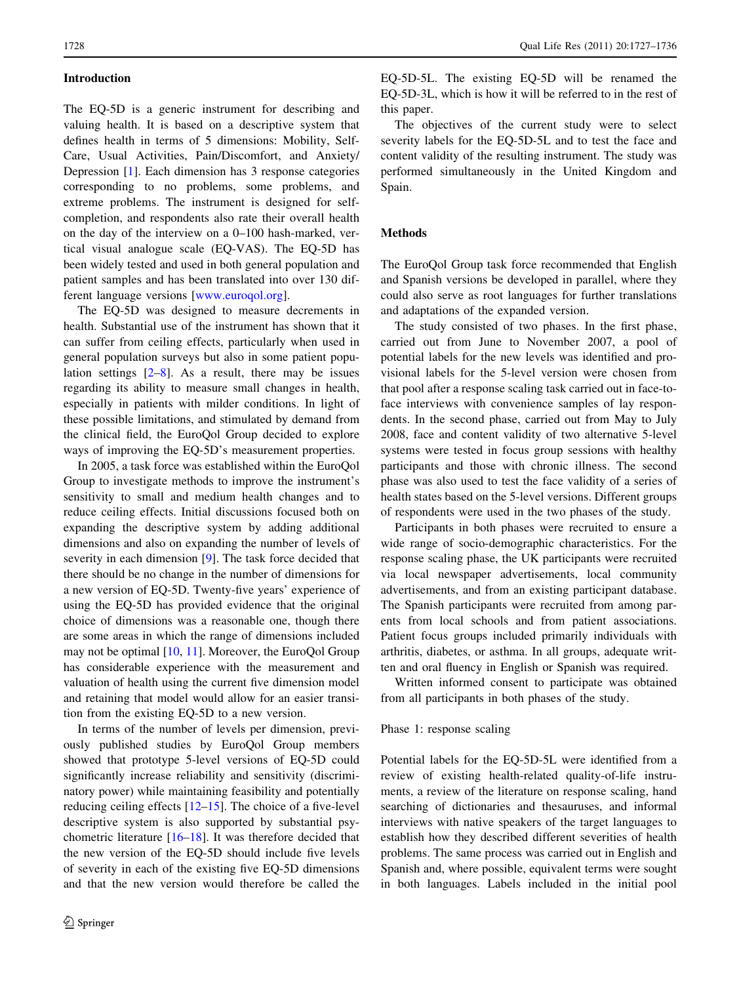#### Introduction

The EQ-5D is a generic instrument for describing and valuing health. It is based on a descriptive system that defines health in terms of 5 dimensions: Mobility, Self-Care, Usual Activities, Pain/Discomfort, and Anxiety/ Depression [[1\]](#page-8-0). Each dimension has 3 response categories corresponding to no problems, some problems, and extreme problems. The instrument is designed for selfcompletion, and respondents also rate their overall health on the day of the interview on a 0–100 hash-marked, vertical visual analogue scale (EQ-VAS). The EQ-5D has been widely tested and used in both general population and patient samples and has been translated into over 130 different language versions [\[www.euroqol.org\]](http://www.euroqol.org).

The EQ-5D was designed to measure decrements in health. Substantial use of the instrument has shown that it can suffer from ceiling effects, particularly when used in general population surveys but also in some patient population settings  $[2-8]$ . As a result, there may be issues regarding its ability to measure small changes in health, especially in patients with milder conditions. In light of these possible limitations, and stimulated by demand from the clinical field, the EuroQol Group decided to explore ways of improving the EQ-5D's measurement properties.

In 2005, a task force was established within the EuroQol Group to investigate methods to improve the instrument's sensitivity to small and medium health changes and to reduce ceiling effects. Initial discussions focused both on expanding the descriptive system by adding additional dimensions and also on expanding the number of levels of severity in each dimension [\[9](#page-8-0)]. The task force decided that there should be no change in the number of dimensions for a new version of EQ-5D. Twenty-five years' experience of using the EQ-5D has provided evidence that the original choice of dimensions was a reasonable one, though there are some areas in which the range of dimensions included may not be optimal [\[10](#page-8-0), [11](#page-8-0)]. Moreover, the EuroQol Group has considerable experience with the measurement and valuation of health using the current five dimension model and retaining that model would allow for an easier transition from the existing EQ-5D to a new version.

In terms of the number of levels per dimension, previously published studies by EuroQol Group members showed that prototype 5-level versions of EQ-5D could significantly increase reliability and sensitivity (discriminatory power) while maintaining feasibility and potentially reducing ceiling effects [[12–15\]](#page-8-0). The choice of a five-level descriptive system is also supported by substantial psychometric literature [\[16–18](#page-8-0)]. It was therefore decided that the new version of the EQ-5D should include five levels of severity in each of the existing five EQ-5D dimensions and that the new version would therefore be called the EQ-5D-5L. The existing EQ-5D will be renamed the EQ-5D-3L, which is how it will be referred to in the rest of this paper.

The objectives of the current study were to select severity labels for the EQ-5D-5L and to test the face and content validity of the resulting instrument. The study was performed simultaneously in the United Kingdom and Spain.

### **Methods**

The EuroQol Group task force recommended that English and Spanish versions be developed in parallel, where they could also serve as root languages for further translations and adaptations of the expanded version.

The study consisted of two phases. In the first phase, carried out from June to November 2007, a pool of potential labels for the new levels was identified and provisional labels for the 5-level version were chosen from that pool after a response scaling task carried out in face-toface interviews with convenience samples of lay respondents. In the second phase, carried out from May to July 2008, face and content validity of two alternative 5-level systems were tested in focus group sessions with healthy participants and those with chronic illness. The second phase was also used to test the face validity of a series of health states based on the 5-level versions. Different groups of respondents were used in the two phases of the study.

Participants in both phases were recruited to ensure a wide range of socio-demographic characteristics. For the response scaling phase, the UK participants were recruited via local newspaper advertisements, local community advertisements, and from an existing participant database. The Spanish participants were recruited from among parents from local schools and from patient associations. Patient focus groups included primarily individuals with arthritis, diabetes, or asthma. In all groups, adequate written and oral fluency in English or Spanish was required.

Written informed consent to participate was obtained from all participants in both phases of the study.

#### Phase 1: response scaling

Potential labels for the EQ-5D-5L were identified from a review of existing health-related quality-of-life instruments, a review of the literature on response scaling, hand searching of dictionaries and thesauruses, and informal interviews with native speakers of the target languages to establish how they described different severities of health problems. The same process was carried out in English and Spanish and, where possible, equivalent terms were sought in both languages. Labels included in the initial pool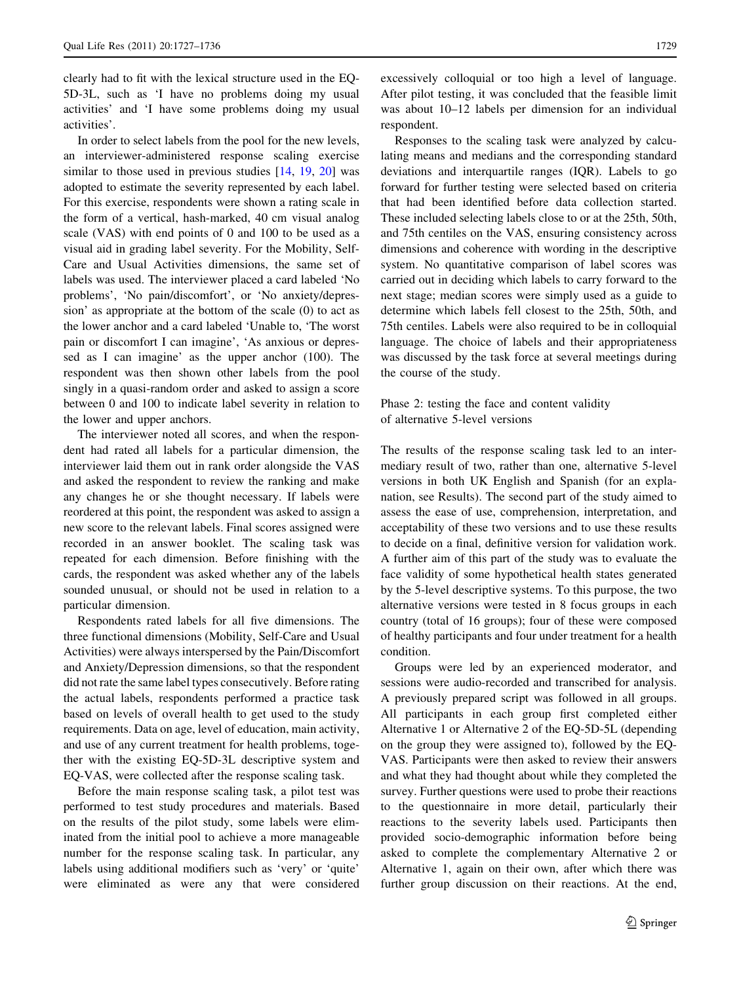clearly had to fit with the lexical structure used in the EQ-5D-3L, such as 'I have no problems doing my usual activities' and 'I have some problems doing my usual activities'.

In order to select labels from the pool for the new levels, an interviewer-administered response scaling exercise similar to those used in previous studies [[14,](#page-8-0) [19,](#page-8-0) [20\]](#page-8-0) was adopted to estimate the severity represented by each label. For this exercise, respondents were shown a rating scale in the form of a vertical, hash-marked, 40 cm visual analog scale (VAS) with end points of 0 and 100 to be used as a visual aid in grading label severity. For the Mobility, Self-Care and Usual Activities dimensions, the same set of labels was used. The interviewer placed a card labeled 'No problems', 'No pain/discomfort', or 'No anxiety/depression' as appropriate at the bottom of the scale (0) to act as the lower anchor and a card labeled 'Unable to, 'The worst pain or discomfort I can imagine', 'As anxious or depressed as I can imagine' as the upper anchor (100). The respondent was then shown other labels from the pool singly in a quasi-random order and asked to assign a score between 0 and 100 to indicate label severity in relation to the lower and upper anchors.

The interviewer noted all scores, and when the respondent had rated all labels for a particular dimension, the interviewer laid them out in rank order alongside the VAS and asked the respondent to review the ranking and make any changes he or she thought necessary. If labels were reordered at this point, the respondent was asked to assign a new score to the relevant labels. Final scores assigned were recorded in an answer booklet. The scaling task was repeated for each dimension. Before finishing with the cards, the respondent was asked whether any of the labels sounded unusual, or should not be used in relation to a particular dimension.

Respondents rated labels for all five dimensions. The three functional dimensions (Mobility, Self-Care and Usual Activities) were always interspersed by the Pain/Discomfort and Anxiety/Depression dimensions, so that the respondent did not rate the same label types consecutively. Before rating the actual labels, respondents performed a practice task based on levels of overall health to get used to the study requirements. Data on age, level of education, main activity, and use of any current treatment for health problems, together with the existing EQ-5D-3L descriptive system and EQ-VAS, were collected after the response scaling task.

Before the main response scaling task, a pilot test was performed to test study procedures and materials. Based on the results of the pilot study, some labels were eliminated from the initial pool to achieve a more manageable number for the response scaling task. In particular, any labels using additional modifiers such as 'very' or 'quite' were eliminated as were any that were considered excessively colloquial or too high a level of language. After pilot testing, it was concluded that the feasible limit was about 10–12 labels per dimension for an individual respondent.

Responses to the scaling task were analyzed by calculating means and medians and the corresponding standard deviations and interquartile ranges (IQR). Labels to go forward for further testing were selected based on criteria that had been identified before data collection started. These included selecting labels close to or at the 25th, 50th, and 75th centiles on the VAS, ensuring consistency across dimensions and coherence with wording in the descriptive system. No quantitative comparison of label scores was carried out in deciding which labels to carry forward to the next stage; median scores were simply used as a guide to determine which labels fell closest to the 25th, 50th, and 75th centiles. Labels were also required to be in colloquial language. The choice of labels and their appropriateness was discussed by the task force at several meetings during the course of the study.

Phase 2: testing the face and content validity of alternative 5-level versions

The results of the response scaling task led to an intermediary result of two, rather than one, alternative 5-level versions in both UK English and Spanish (for an explanation, see Results). The second part of the study aimed to assess the ease of use, comprehension, interpretation, and acceptability of these two versions and to use these results to decide on a final, definitive version for validation work. A further aim of this part of the study was to evaluate the face validity of some hypothetical health states generated by the 5-level descriptive systems. To this purpose, the two alternative versions were tested in 8 focus groups in each country (total of 16 groups); four of these were composed of healthy participants and four under treatment for a health condition.

Groups were led by an experienced moderator, and sessions were audio-recorded and transcribed for analysis. A previously prepared script was followed in all groups. All participants in each group first completed either Alternative 1 or Alternative 2 of the EQ-5D-5L (depending on the group they were assigned to), followed by the EQ-VAS. Participants were then asked to review their answers and what they had thought about while they completed the survey. Further questions were used to probe their reactions to the questionnaire in more detail, particularly their reactions to the severity labels used. Participants then provided socio-demographic information before being asked to complete the complementary Alternative 2 or Alternative 1, again on their own, after which there was further group discussion on their reactions. At the end,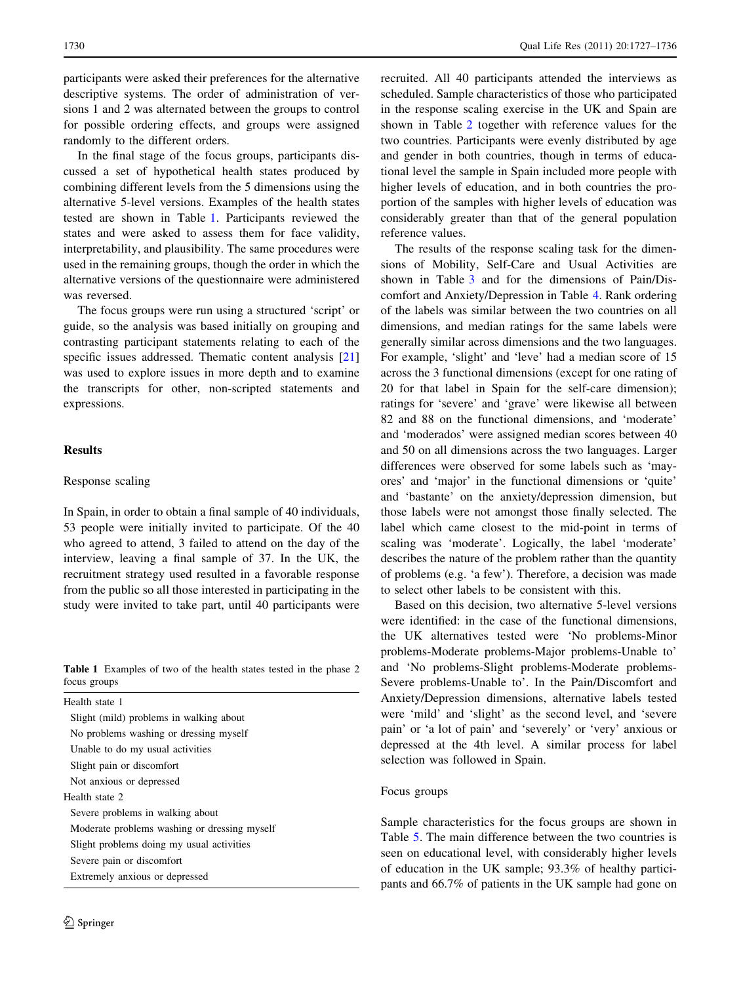participants were asked their preferences for the alternative descriptive systems. The order of administration of versions 1 and 2 was alternated between the groups to control for possible ordering effects, and groups were assigned randomly to the different orders.

In the final stage of the focus groups, participants discussed a set of hypothetical health states produced by combining different levels from the 5 dimensions using the alternative 5-level versions. Examples of the health states tested are shown in Table 1. Participants reviewed the states and were asked to assess them for face validity, interpretability, and plausibility. The same procedures were used in the remaining groups, though the order in which the alternative versions of the questionnaire were administered was reversed.

The focus groups were run using a structured 'script' or guide, so the analysis was based initially on grouping and contrasting participant statements relating to each of the specific issues addressed. Thematic content analysis [[21\]](#page-9-0) was used to explore issues in more depth and to examine the transcripts for other, non-scripted statements and expressions.

## **Results**

#### Response scaling

In Spain, in order to obtain a final sample of 40 individuals, 53 people were initially invited to participate. Of the 40 who agreed to attend, 3 failed to attend on the day of the interview, leaving a final sample of 37. In the UK, the recruitment strategy used resulted in a favorable response from the public so all those interested in participating in the study were invited to take part, until 40 participants were

Table 1 Examples of two of the health states tested in the phase 2 focus groups

| Health state 1                               |  |
|----------------------------------------------|--|
| Slight (mild) problems in walking about      |  |
| No problems washing or dressing myself       |  |
| Unable to do my usual activities             |  |
| Slight pain or discomfort                    |  |
| Not anxious or depressed                     |  |
| Health state 2                               |  |
| Severe problems in walking about             |  |
| Moderate problems washing or dressing myself |  |
| Slight problems doing my usual activities    |  |
| Severe pain or discomfort                    |  |
| Extremely anxious or depressed               |  |

recruited. All 40 participants attended the interviews as scheduled. Sample characteristics of those who participated in the response scaling exercise in the UK and Spain are shown in Table [2](#page-4-0) together with reference values for the two countries. Participants were evenly distributed by age and gender in both countries, though in terms of educational level the sample in Spain included more people with higher levels of education, and in both countries the proportion of the samples with higher levels of education was considerably greater than that of the general population reference values.

The results of the response scaling task for the dimensions of Mobility, Self-Care and Usual Activities are shown in Table [3](#page-4-0) and for the dimensions of Pain/Discomfort and Anxiety/Depression in Table [4.](#page-5-0) Rank ordering of the labels was similar between the two countries on all dimensions, and median ratings for the same labels were generally similar across dimensions and the two languages. For example, 'slight' and 'leve' had a median score of 15 across the 3 functional dimensions (except for one rating of 20 for that label in Spain for the self-care dimension); ratings for 'severe' and 'grave' were likewise all between 82 and 88 on the functional dimensions, and 'moderate' and 'moderados' were assigned median scores between 40 and 50 on all dimensions across the two languages. Larger differences were observed for some labels such as 'mayores' and 'major' in the functional dimensions or 'quite' and 'bastante' on the anxiety/depression dimension, but those labels were not amongst those finally selected. The label which came closest to the mid-point in terms of scaling was 'moderate'. Logically, the label 'moderate' describes the nature of the problem rather than the quantity of problems (e.g. 'a few'). Therefore, a decision was made to select other labels to be consistent with this.

Based on this decision, two alternative 5-level versions were identified: in the case of the functional dimensions, the UK alternatives tested were 'No problems-Minor problems-Moderate problems-Major problems-Unable to' and 'No problems-Slight problems-Moderate problems-Severe problems-Unable to'. In the Pain/Discomfort and Anxiety/Depression dimensions, alternative labels tested were 'mild' and 'slight' as the second level, and 'severe pain' or 'a lot of pain' and 'severely' or 'very' anxious or depressed at the 4th level. A similar process for label selection was followed in Spain.

#### Focus groups

Sample characteristics for the focus groups are shown in Table [5](#page-5-0). The main difference between the two countries is seen on educational level, with considerably higher levels of education in the UK sample; 93.3% of healthy participants and 66.7% of patients in the UK sample had gone on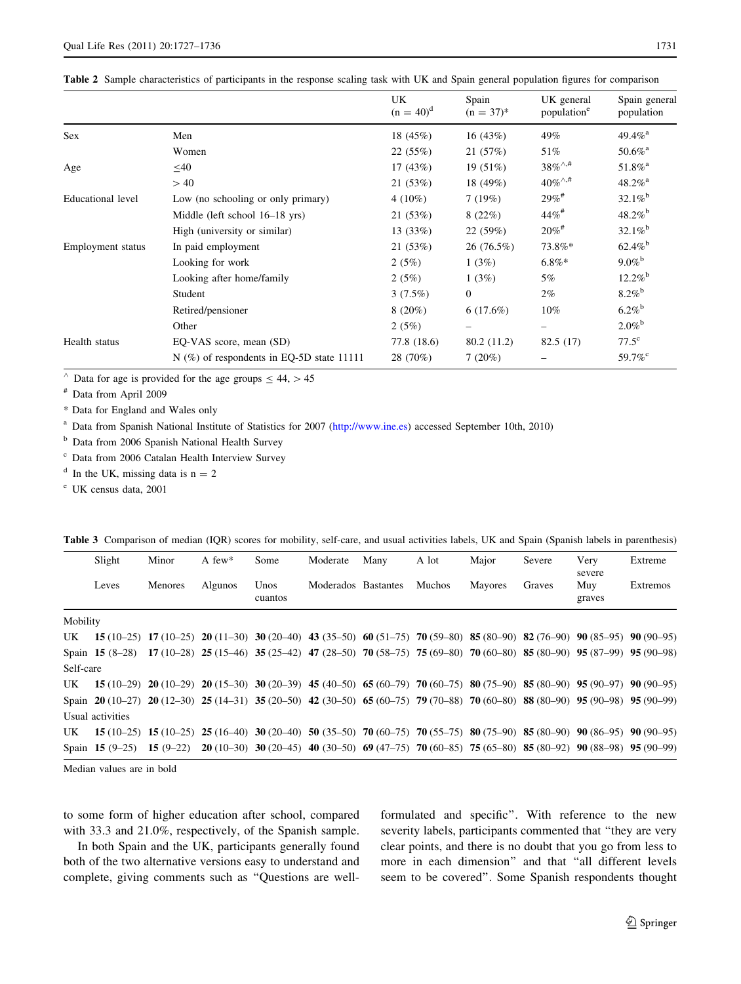|                   |                                             | UK<br>$(n = 40)^d$ | Spain<br>$(n = 37)^{*}$ | UK general<br>population <sup>e</sup> | Spain general<br>population |
|-------------------|---------------------------------------------|--------------------|-------------------------|---------------------------------------|-----------------------------|
| Sex               | Men                                         | 18 (45%)           | 16(43%)                 | 49%                                   | $49.4\%$ <sup>a</sup>       |
|                   | Women                                       | 22(55%)            | 21(57%)                 | 51%                                   | $50.6\%$ <sup>a</sup>       |
| Age               | $\leq 40$                                   | 17(43%)            | 19 $(51\%)$             | $38\%^{\wedge,\#}$                    | $51.8\%$ <sup>a</sup>       |
|                   | > 40                                        | 21(53%)            | 18 (49%)                | $40\%^{\wedge,\#}$                    | $48.2\%$ <sup>a</sup>       |
| Educational level | Low (no schooling or only primary)          | 4 $(10\%)$         | 7(19%)                  | $29\%$ <sup>#</sup>                   | $32.1\%$ <sup>b</sup>       |
|                   | Middle (left school $16-18$ yrs)            | 21(53%)            | 8(22%)                  | $44\%$ <sup>#</sup>                   | $48.2\%$ <sup>b</sup>       |
|                   | High (university or similar)                | 13(33%)            | 22(59%)                 | $20\%$ <sup>#</sup>                   | $32.1\%$ <sup>b</sup>       |
| Employment status | In paid employment                          | 21(53%)            | 26 (76.5%)              | 73.8%*                                | $62.4\%$ <sup>b</sup>       |
|                   | Looking for work                            | 2(5%)              | 1(3%)                   | $6.8\%*$                              | $9.0\%$ <sup>b</sup>        |
|                   | Looking after home/family                   | 2(5%)              | 1(3%)                   | $5\%$                                 | $12.2\%$ <sup>b</sup>       |
|                   | Student                                     | $3(7.5\%)$         | $\overline{0}$          | $2\%$                                 | $8.2\%$ <sup>b</sup>        |
|                   | Retired/pensioner                           | $8(20\%)$          | 6(17.6%)                | $10\%$                                | $6.2\%$ <sup>b</sup>        |
|                   | Other                                       | 2(5%)              |                         |                                       | $2.0\%$ <sup>b</sup>        |
| Health status     | EQ-VAS score, mean (SD)                     | 77.8 (18.6)        | 80.2 (11.2)             | 82.5(17)                              | $77.5^\circ$                |
|                   | $N$ (%) of respondents in EQ-5D state 11111 | 28 (70%)           | 7(20%)                  |                                       | 59.7% $^{\circ}$            |

<span id="page-4-0"></span>Table 2 Sample characteristics of participants in the response scaling task with UK and Spain general population figures for comparison

 $\land$  Data for age is provided for the age groups  $\leq 44$ ,  $> 45$ 

# Data from April 2009

\* Data for England and Wales only

<sup>a</sup> Data from Spanish National Institute of Statistics for 2007 [\(http://www.ine.es\)](http://www.ine.es) accessed September 10th, 2010)

<sup>b</sup> Data from 2006 Spanish National Health Survey

<sup>c</sup> Data from 2006 Catalan Health Interview Survey

 $d$  In the UK, missing data is  $n = 2$ 

<sup>e</sup> UK census data, 2001

|           | Slight                        | Minor          | A few $*$ | Some                   | Moderate                                                                                                                       | Many | A lot  | Major   | Severe | Very<br>severe | Extreme  |
|-----------|-------------------------------|----------------|-----------|------------------------|--------------------------------------------------------------------------------------------------------------------------------|------|--------|---------|--------|----------------|----------|
|           | Leves                         | <b>Menores</b> | Algunos   | <b>Unos</b><br>cuantos | Moderados Bastantes                                                                                                            |      | Muchos | Mayores | Graves | Muy<br>graves  | Extremos |
| Mobility  |                               |                |           |                        |                                                                                                                                |      |        |         |        |                |          |
| UK        |                               |                |           |                        | 15 (10–25) 17 (10–25) 20 (11–30) 30 (20–40) 43 (35–50) 60 (51–75) 70 (59–80) 85 (80–90) 82 (76–90) 90 (85–95) 90 (90–95)       |      |        |         |        |                |          |
|           |                               |                |           |                        | Spain 15 (8–28) 17 (10–28) 25 (15–46) 35 (25–42) 47 (28–50) 70 (58–75) 75 (69–80) 70 (60–80) 85 (80–90) 95 (87–99) 95 (90–98)  |      |        |         |        |                |          |
| Self-care |                               |                |           |                        |                                                                                                                                |      |        |         |        |                |          |
|           |                               |                |           |                        | UK 15 (10-29) 20 (10-29) 20 (15-30) 30 (20-39) 45 (40-50) 65 (60-79) 70 (60-75) 80 (75-90) 85 (80-90) 95 (90-97) 90 (90-95)    |      |        |         |        |                |          |
|           |                               |                |           |                        | Spain 20 (10-27) 20 (12-30) 25 (14-31) 35 (20-50) 42 (30-50) 65 (60-75) 79 (70-88) 70 (60-80) 88 (80-90) 95 (90-98) 95 (90-99) |      |        |         |        |                |          |
|           | Usual activities              |                |           |                        |                                                                                                                                |      |        |         |        |                |          |
| UK        |                               |                |           |                        | 15 (10-25) 15 (10-25) 25 (16-40) 30 (20-40) 50 (35-50) 70 (60-75) 70 (55-75) 80 (75-90) 85 (80-90) 90 (86-95) 90 (90-95)       |      |        |         |        |                |          |
|           | Spain 15 $(9-25)$ 15 $(9-22)$ |                |           |                        | 20 (10–30) 30 (20–45) 40 (30–50) 69 (47–75) 70 (60–85) 75 (65–80) 85 (80–92) 90 (88–98) 95 (90–99)                             |      |        |         |        |                |          |

Table 3 Comparison of median (IQR) scores for mobility, self-care, and usual activities labels, UK and Spain (Spanish labels in parenthesis)

Median values are in bold

to some form of higher education after school, compared with 33.3 and 21.0%, respectively, of the Spanish sample.

In both Spain and the UK, participants generally found both of the two alternative versions easy to understand and complete, giving comments such as ''Questions are wellformulated and specific''. With reference to the new severity labels, participants commented that ''they are very clear points, and there is no doubt that you go from less to more in each dimension'' and that ''all different levels seem to be covered''. Some Spanish respondents thought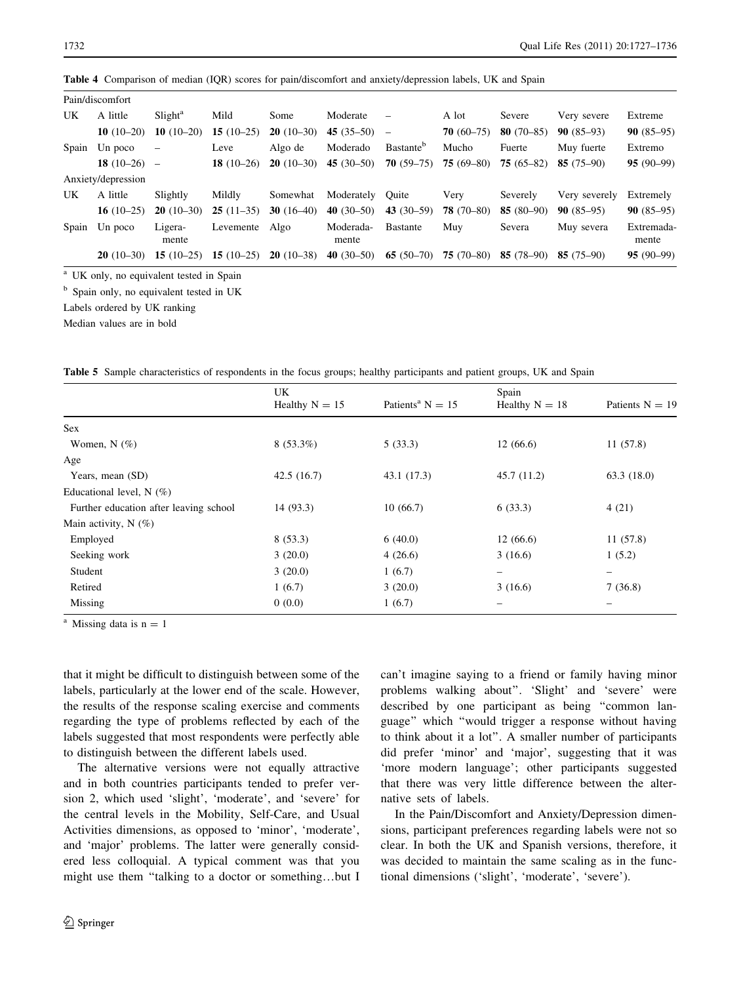<span id="page-5-0"></span>Table 4 Comparison of median (IQR) scores for pain/discomfort and anxiety/depression labels, UK and Spain

|       | Pain/discomfort    |                     |              |              |                    |                              |               |             |               |                     |
|-------|--------------------|---------------------|--------------|--------------|--------------------|------------------------------|---------------|-------------|---------------|---------------------|
| UK.   | A little           | Slight <sup>a</sup> | Mild         | Some         | Moderate           |                              | A lot         | Severe      | Very severe   | Extreme             |
|       | 10 $(10-20)$       | 10 $(10-20)$        | 15 $(10-25)$ | $20(10-30)$  | 45 $(35-50)$       |                              | $70(60 - 75)$ | $80(70-85)$ | $90(85-93)$   | $90(85-95)$         |
|       | Spain Un poco      | -                   | Leve         | Algo de      | Moderado           | <b>Bastante</b> <sup>b</sup> | Mucho         | Fuerte      | Muy fuerte    | Extremo             |
|       | 18 $(10-26)$ -     |                     | 18 $(10-26)$ | $20(10-30)$  | 45 $(30-50)$       | $70(59-75)$                  | $75(69-80)$   | $75(65-82)$ | $85(75-90)$   | $95(90-99)$         |
|       | Anxiety/depression |                     |              |              |                    |                              |               |             |               |                     |
| UK.   | A little           | Slightly            | Mildly       | Somewhat     | Moderately         | Ouite                        | Very          | Severely    | Very severely | Extremely           |
|       | 16 $(10-25)$       | $20(10-30)$         | $25(11-35)$  | 30 $(16-40)$ | 40 $(30-50)$       | 43 $(30-59)$                 | $78(70-80)$   | $85(80-90)$ | $90(85-95)$   | $90(85-95)$         |
| Spain | Un poco            | Ligera-<br>mente    | Levemente    | Algo         | Moderada-<br>mente | <b>Bastante</b>              | Muy           | Severa      | Muy severa    | Extremada-<br>mente |
|       | $20(10-30)$        | 15 $(10-25)$        | 15 $(10-25)$ | $20(10-38)$  | 40 $(30-50)$       | 65 $(50-70)$                 | $75(70-80)$   | $85(78-90)$ | $85(75-90)$   | $95(90-99)$         |

<sup>a</sup> UK only, no equivalent tested in Spain

<sup>b</sup> Spain only, no equivalent tested in UK

Labels ordered by UK ranking

Median values are in bold

Table 5 Sample characteristics of respondents in the focus groups; healthy participants and patient groups, UK and Spain

|                                        | UK               |                                | Spain            |                   |
|----------------------------------------|------------------|--------------------------------|------------------|-------------------|
|                                        | Healthy $N = 15$ | Patients <sup>a</sup> $N = 15$ | Healthy $N = 18$ | Patients $N = 19$ |
| <b>Sex</b>                             |                  |                                |                  |                   |
| Women, $N(\%)$                         | $8(53.3\%)$      | 5(33.3)                        | 12(66.6)         | 11(57.8)          |
| Age                                    |                  |                                |                  |                   |
| Years, mean (SD)                       | 42.5(16.7)       | 43.1(17.3)                     | 45.7(11.2)       | 63.3(18.0)        |
| Educational level, $N(\%)$             |                  |                                |                  |                   |
| Further education after leaving school | 14(93.3)         | 10(66.7)                       | 6(33.3)          | 4(21)             |
| Main activity, $N$ (%)                 |                  |                                |                  |                   |
| Employed                               | 8(53.3)          | 6(40.0)                        | 12(66.6)         | 11(57.8)          |
| Seeking work                           | 3(20.0)          | 4(26.6)                        | 3(16.6)          | 1(5.2)            |
| Student                                | 3(20.0)          | 1(6.7)                         | -                | -                 |
| Retired                                | 1(6.7)           | 3(20.0)                        | 3(16.6)          | 7(36.8)           |
| Missing                                | 0(0.0)           | 1(6.7)                         | -                | -                 |
|                                        |                  |                                |                  |                   |

<sup>a</sup> Missing data is  $n = 1$ 

that it might be difficult to distinguish between some of the labels, particularly at the lower end of the scale. However, the results of the response scaling exercise and comments regarding the type of problems reflected by each of the labels suggested that most respondents were perfectly able to distinguish between the different labels used.

The alternative versions were not equally attractive and in both countries participants tended to prefer version 2, which used 'slight', 'moderate', and 'severe' for the central levels in the Mobility, Self-Care, and Usual Activities dimensions, as opposed to 'minor', 'moderate', and 'major' problems. The latter were generally considered less colloquial. A typical comment was that you might use them ''talking to a doctor or something…but I can't imagine saying to a friend or family having minor problems walking about''. 'Slight' and 'severe' were described by one participant as being ''common language'' which ''would trigger a response without having to think about it a lot''. A smaller number of participants did prefer 'minor' and 'major', suggesting that it was 'more modern language'; other participants suggested that there was very little difference between the alternative sets of labels.

In the Pain/Discomfort and Anxiety/Depression dimensions, participant preferences regarding labels were not so clear. In both the UK and Spanish versions, therefore, it was decided to maintain the same scaling as in the functional dimensions ('slight', 'moderate', 'severe').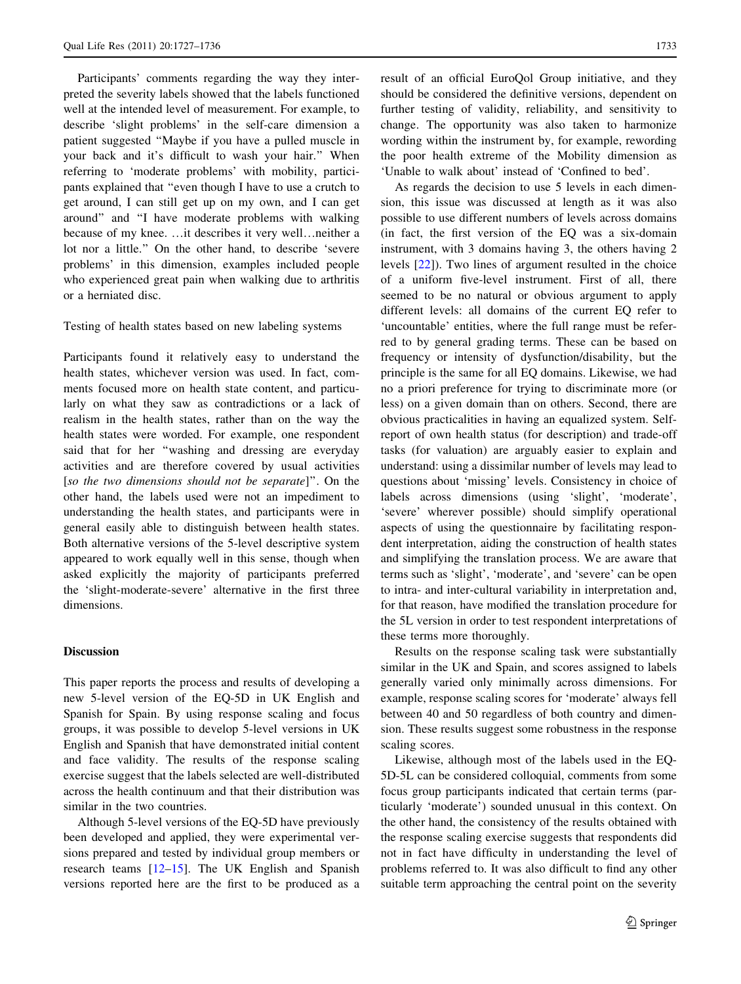Participants' comments regarding the way they interpreted the severity labels showed that the labels functioned well at the intended level of measurement. For example, to describe 'slight problems' in the self-care dimension a patient suggested ''Maybe if you have a pulled muscle in your back and it's difficult to wash your hair.'' When referring to 'moderate problems' with mobility, participants explained that ''even though I have to use a crutch to get around, I can still get up on my own, and I can get around'' and ''I have moderate problems with walking because of my knee. …it describes it very well…neither a lot nor a little.'' On the other hand, to describe 'severe problems' in this dimension, examples included people who experienced great pain when walking due to arthritis or a herniated disc.

Testing of health states based on new labeling systems

Participants found it relatively easy to understand the health states, whichever version was used. In fact, comments focused more on health state content, and particularly on what they saw as contradictions or a lack of realism in the health states, rather than on the way the health states were worded. For example, one respondent said that for her ''washing and dressing are everyday activities and are therefore covered by usual activities [so the two dimensions should not be separate]''. On the other hand, the labels used were not an impediment to understanding the health states, and participants were in general easily able to distinguish between health states. Both alternative versions of the 5-level descriptive system appeared to work equally well in this sense, though when asked explicitly the majority of participants preferred the 'slight-moderate-severe' alternative in the first three dimensions.

### Discussion

This paper reports the process and results of developing a new 5-level version of the EQ-5D in UK English and Spanish for Spain. By using response scaling and focus groups, it was possible to develop 5-level versions in UK English and Spanish that have demonstrated initial content and face validity. The results of the response scaling exercise suggest that the labels selected are well-distributed across the health continuum and that their distribution was similar in the two countries.

Although 5-level versions of the EQ-5D have previously been developed and applied, they were experimental versions prepared and tested by individual group members or research teams [[12–15\]](#page-8-0). The UK English and Spanish versions reported here are the first to be produced as a result of an official EuroQol Group initiative, and they should be considered the definitive versions, dependent on further testing of validity, reliability, and sensitivity to change. The opportunity was also taken to harmonize wording within the instrument by, for example, rewording the poor health extreme of the Mobility dimension as 'Unable to walk about' instead of 'Confined to bed'.

As regards the decision to use 5 levels in each dimension, this issue was discussed at length as it was also possible to use different numbers of levels across domains (in fact, the first version of the EQ was a six-domain instrument, with 3 domains having 3, the others having 2 levels [\[22](#page-9-0)]). Two lines of argument resulted in the choice of a uniform five-level instrument. First of all, there seemed to be no natural or obvious argument to apply different levels: all domains of the current EQ refer to 'uncountable' entities, where the full range must be referred to by general grading terms. These can be based on frequency or intensity of dysfunction/disability, but the principle is the same for all EQ domains. Likewise, we had no a priori preference for trying to discriminate more (or less) on a given domain than on others. Second, there are obvious practicalities in having an equalized system. Selfreport of own health status (for description) and trade-off tasks (for valuation) are arguably easier to explain and understand: using a dissimilar number of levels may lead to questions about 'missing' levels. Consistency in choice of labels across dimensions (using 'slight', 'moderate', 'severe' wherever possible) should simplify operational aspects of using the questionnaire by facilitating respondent interpretation, aiding the construction of health states and simplifying the translation process. We are aware that terms such as 'slight', 'moderate', and 'severe' can be open to intra- and inter-cultural variability in interpretation and, for that reason, have modified the translation procedure for the 5L version in order to test respondent interpretations of these terms more thoroughly.

Results on the response scaling task were substantially similar in the UK and Spain, and scores assigned to labels generally varied only minimally across dimensions. For example, response scaling scores for 'moderate' always fell between 40 and 50 regardless of both country and dimension. These results suggest some robustness in the response scaling scores.

Likewise, although most of the labels used in the EQ-5D-5L can be considered colloquial, comments from some focus group participants indicated that certain terms (particularly 'moderate') sounded unusual in this context. On the other hand, the consistency of the results obtained with the response scaling exercise suggests that respondents did not in fact have difficulty in understanding the level of problems referred to. It was also difficult to find any other suitable term approaching the central point on the severity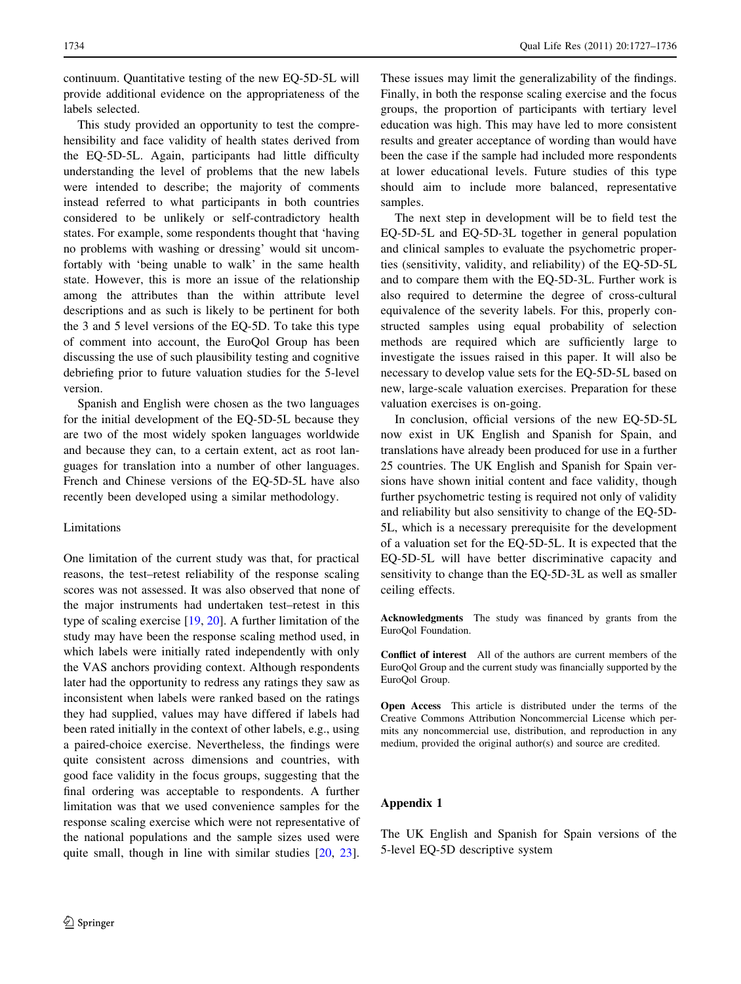continuum. Quantitative testing of the new EQ-5D-5L will provide additional evidence on the appropriateness of the labels selected.

This study provided an opportunity to test the comprehensibility and face validity of health states derived from the EQ-5D-5L. Again, participants had little difficulty understanding the level of problems that the new labels were intended to describe; the majority of comments instead referred to what participants in both countries considered to be unlikely or self-contradictory health states. For example, some respondents thought that 'having no problems with washing or dressing' would sit uncomfortably with 'being unable to walk' in the same health state. However, this is more an issue of the relationship among the attributes than the within attribute level descriptions and as such is likely to be pertinent for both the 3 and 5 level versions of the EQ-5D. To take this type of comment into account, the EuroQol Group has been discussing the use of such plausibility testing and cognitive debriefing prior to future valuation studies for the 5-level version.

Spanish and English were chosen as the two languages for the initial development of the EQ-5D-5L because they are two of the most widely spoken languages worldwide and because they can, to a certain extent, act as root languages for translation into a number of other languages. French and Chinese versions of the EQ-5D-5L have also recently been developed using a similar methodology.

## Limitations

One limitation of the current study was that, for practical reasons, the test–retest reliability of the response scaling scores was not assessed. It was also observed that none of the major instruments had undertaken test–retest in this type of scaling exercise [\[19](#page-8-0), [20](#page-8-0)]. A further limitation of the study may have been the response scaling method used, in which labels were initially rated independently with only the VAS anchors providing context. Although respondents later had the opportunity to redress any ratings they saw as inconsistent when labels were ranked based on the ratings they had supplied, values may have differed if labels had been rated initially in the context of other labels, e.g., using a paired-choice exercise. Nevertheless, the findings were quite consistent across dimensions and countries, with good face validity in the focus groups, suggesting that the final ordering was acceptable to respondents. A further limitation was that we used convenience samples for the response scaling exercise which were not representative of the national populations and the sample sizes used were quite small, though in line with similar studies [[20,](#page-8-0) [23](#page-9-0)].

These issues may limit the generalizability of the findings. Finally, in both the response scaling exercise and the focus groups, the proportion of participants with tertiary level education was high. This may have led to more consistent results and greater acceptance of wording than would have been the case if the sample had included more respondents at lower educational levels. Future studies of this type should aim to include more balanced, representative samples.

The next step in development will be to field test the EQ-5D-5L and EQ-5D-3L together in general population and clinical samples to evaluate the psychometric properties (sensitivity, validity, and reliability) of the EQ-5D-5L and to compare them with the EQ-5D-3L. Further work is also required to determine the degree of cross-cultural equivalence of the severity labels. For this, properly constructed samples using equal probability of selection methods are required which are sufficiently large to investigate the issues raised in this paper. It will also be necessary to develop value sets for the EQ-5D-5L based on new, large-scale valuation exercises. Preparation for these valuation exercises is on-going.

In conclusion, official versions of the new EQ-5D-5L now exist in UK English and Spanish for Spain, and translations have already been produced for use in a further 25 countries. The UK English and Spanish for Spain versions have shown initial content and face validity, though further psychometric testing is required not only of validity and reliability but also sensitivity to change of the EQ-5D-5L, which is a necessary prerequisite for the development of a valuation set for the EQ-5D-5L. It is expected that the EQ-5D-5L will have better discriminative capacity and sensitivity to change than the EQ-5D-3L as well as smaller ceiling effects.

Acknowledgments The study was financed by grants from the EuroQol Foundation.

Conflict of interest All of the authors are current members of the EuroQol Group and the current study was financially supported by the EuroQol Group.

Open Access This article is distributed under the terms of the Creative Commons Attribution Noncommercial License which permits any noncommercial use, distribution, and reproduction in any medium, provided the original author(s) and source are credited.

#### Appendix 1

The UK English and Spanish for Spain versions of the 5-level EQ-5D descriptive system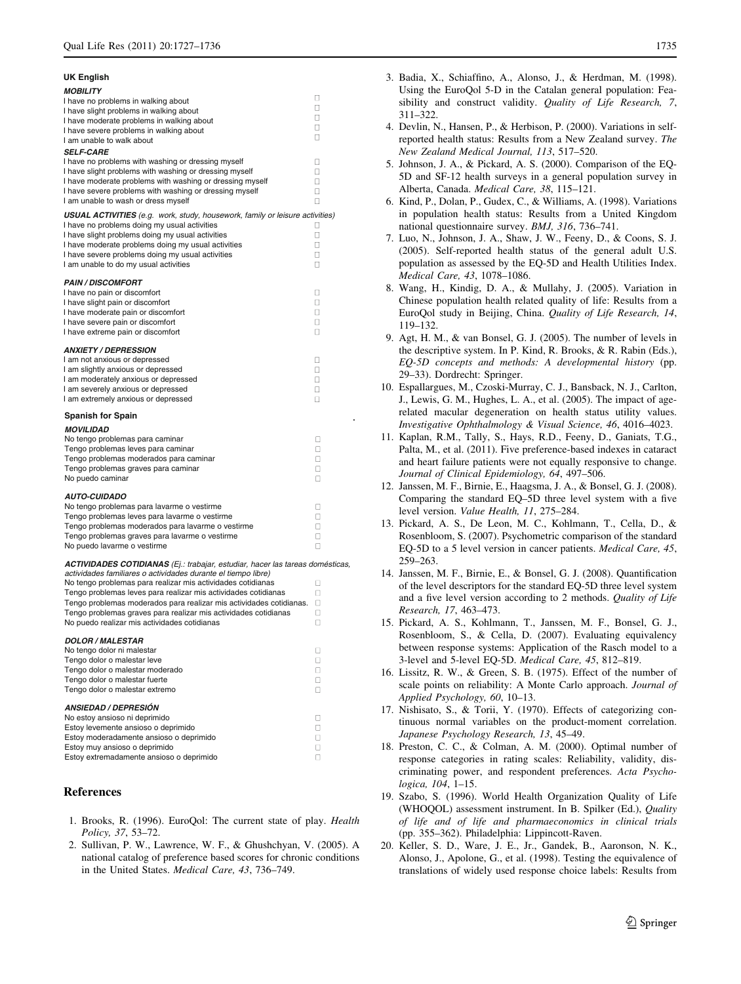<span id="page-8-0"></span>

| <b>UK English</b><br><b>MOBILITY</b><br>I have no problems in walking about<br>I have slight problems in walking about<br>I have moderate problems in walking about<br>I have severe problems in walking about<br>I am unable to walk about<br><b>SELF-CARE</b><br>I have no problems with washing or dressing myself<br>I have slight problems with washing or dressing myself<br>I have moderate problems with washing or dressing myself<br>I have severe problems with washing or dressing myself<br>I am unable to wash or dress myself<br><b>USUAL ACTIVITIES</b> (e.g. work, study, housework, family or leisure activities)<br>I have no problems doing my usual activities<br>I have slight problems doing my usual activities<br>I have moderate problems doing my usual activities | $\Box$<br>п<br>$\Box$<br>П<br>П<br>□<br>п<br>П<br>$\Box$<br>$\Box$<br>Ω<br>$\Box$<br>П |
|-----------------------------------------------------------------------------------------------------------------------------------------------------------------------------------------------------------------------------------------------------------------------------------------------------------------------------------------------------------------------------------------------------------------------------------------------------------------------------------------------------------------------------------------------------------------------------------------------------------------------------------------------------------------------------------------------------------------------------------------------------------------------------------------------|----------------------------------------------------------------------------------------|
| I have severe problems doing my usual activities<br>I am unable to do my usual activities                                                                                                                                                                                                                                                                                                                                                                                                                                                                                                                                                                                                                                                                                                     | $\Box$<br>□                                                                            |
| <b>PAIN / DISCOMFORT</b><br>I have no pain or discomfort<br>I have slight pain or discomfort<br>I have moderate pain or discomfort<br>I have severe pain or discomfort<br>I have extreme pain or discomfort                                                                                                                                                                                                                                                                                                                                                                                                                                                                                                                                                                                   | $\Box$<br>$\Box$<br>П<br>о<br>П                                                        |
| <b>ANXIETY / DEPRESSION</b><br>I am not anxious or depressed<br>I am slightly anxious or depressed<br>I am moderately anxious or depressed<br>I am severely anxious or depressed<br>I am extremely anxious or depressed                                                                                                                                                                                                                                                                                                                                                                                                                                                                                                                                                                       | $\Box$<br>П<br>П<br>П<br>$\Box$                                                        |
| <b>Spanish for Spain</b>                                                                                                                                                                                                                                                                                                                                                                                                                                                                                                                                                                                                                                                                                                                                                                      |                                                                                        |
| <b>MOVILIDAD</b><br>No tengo problemas para caminar<br>Tengo problemas leves para caminar<br>Tengo problemas moderados para caminar<br>Tengo problemas graves para caminar<br>No puedo caminar                                                                                                                                                                                                                                                                                                                                                                                                                                                                                                                                                                                                | О<br>п<br>$\Box$<br>п<br>о                                                             |
| <b>AUTO-CUIDADO</b><br>No tengo problemas para lavarme o vestirme<br>Tengo problemas leves para lavarme o vestirme<br>Tengo problemas moderados para lavarme o vestirme<br>Tengo problemas graves para lavarme o vestirme<br>No puedo lavarme o vestirme                                                                                                                                                                                                                                                                                                                                                                                                                                                                                                                                      | о<br>п<br>Ω<br>Ω<br>о                                                                  |
| <b>ACTIVIDADES COTIDIANAS</b> (Ej.: trabajar, estudiar, hacer las tareas domésticas,<br>actividades familiares o actividades durante el tiempo libre)<br>No tengo problemas para realizar mis actividades cotidianas<br>Tengo problemas leves para realizar mis actividades cotidianas<br>Tengo problemas moderados para realizar mis actividades cotidianas.<br>Tongo problemas gravas nara realizar mis aetividades estidianas                                                                                                                                                                                                                                                                                                                                                              | о<br>п<br>П<br>п                                                                       |

.

| No puedo realizar mis actividades cotidianas<br><b>DOLOR / MALESTAR</b><br>No tengo dolor ni malestar<br>Tengo dolor o malestar leve<br>Tengo dolor o malestar moderado<br>Tengo dolor o malestar fuerte<br>Tengo dolor o malestar extremo<br>ANSIEDAD / DEPRESIÓN<br>No estoy ansioso ni deprimido<br>Estoy levemente ansioso o deprimido<br>Estoy moderadamente ansioso o deprimido<br>Estoy muy ansioso o deprimido<br>Estoy extremadamente ansioso o deprimido | Tengo problemas moderados para realizar mis actividades colidianas.<br>Tengo problemas graves para realizar mis actividades cotidianas |  |
|--------------------------------------------------------------------------------------------------------------------------------------------------------------------------------------------------------------------------------------------------------------------------------------------------------------------------------------------------------------------------------------------------------------------------------------------------------------------|----------------------------------------------------------------------------------------------------------------------------------------|--|
|                                                                                                                                                                                                                                                                                                                                                                                                                                                                    |                                                                                                                                        |  |
|                                                                                                                                                                                                                                                                                                                                                                                                                                                                    |                                                                                                                                        |  |
|                                                                                                                                                                                                                                                                                                                                                                                                                                                                    |                                                                                                                                        |  |
|                                                                                                                                                                                                                                                                                                                                                                                                                                                                    |                                                                                                                                        |  |
|                                                                                                                                                                                                                                                                                                                                                                                                                                                                    |                                                                                                                                        |  |
|                                                                                                                                                                                                                                                                                                                                                                                                                                                                    |                                                                                                                                        |  |
|                                                                                                                                                                                                                                                                                                                                                                                                                                                                    |                                                                                                                                        |  |
|                                                                                                                                                                                                                                                                                                                                                                                                                                                                    |                                                                                                                                        |  |
|                                                                                                                                                                                                                                                                                                                                                                                                                                                                    |                                                                                                                                        |  |
|                                                                                                                                                                                                                                                                                                                                                                                                                                                                    |                                                                                                                                        |  |
|                                                                                                                                                                                                                                                                                                                                                                                                                                                                    |                                                                                                                                        |  |
|                                                                                                                                                                                                                                                                                                                                                                                                                                                                    |                                                                                                                                        |  |
|                                                                                                                                                                                                                                                                                                                                                                                                                                                                    |                                                                                                                                        |  |

#### References

- 1. Brooks, R. (1996). EuroQol: The current state of play. Health Policy, 37, 53–72.
- 2. Sullivan, P. W., Lawrence, W. F., & Ghushchyan, V. (2005). A national catalog of preference based scores for chronic conditions in the United States. Medical Care, 43, 736–749.
- 3. Badia, X., Schiaffino, A., Alonso, J., & Herdman, M. (1998). Using the EuroQol 5-D in the Catalan general population: Fea-
- sibility and construct validity. Quality of Life Research, 7, 311–322. 4. Devlin, N., Hansen, P., & Herbison, P. (2000). Variations in self-
- reported health status: Results from a New Zealand survey. The New Zealand Medical Journal, 113, 517–520.
- 5. Johnson, J. A., & Pickard, A. S. (2000). Comparison of the EQ-5D and SF-12 health surveys in a general population survey in Alberta, Canada. Medical Care, 38, 115–121.
- 6. Kind, P., Dolan, P., Gudex, C., & Williams, A. (1998). Variations in population health status: Results from a United Kingdom national questionnaire survey. BMJ, 316, 736–741.
- 7. Luo, N., Johnson, J. A., Shaw, J. W., Feeny, D., & Coons, S. J. (2005). Self-reported health status of the general adult U.S. population as assessed by the EQ-5D and Health Utilities Index. Medical Care, 43, 1078–1086.
- 8. Wang, H., Kindig, D. A., & Mullahy, J. (2005). Variation in Chinese population health related quality of life: Results from a EuroQol study in Beijing, China. Quality of Life Research, 14, 119–132.
- 9. Agt, H. M., & van Bonsel, G. J. (2005). The number of levels in the descriptive system. In P. Kind, R. Brooks, & R. Rabin (Eds.), EQ-5D concepts and methods: A developmental history (pp. 29–33). Dordrecht: Springer.
- 10. Espallargues, M., Czoski-Murray, C. J., Bansback, N. J., Carlton, J., Lewis, G. M., Hughes, L. A., et al. (2005). The impact of agerelated macular degeneration on health status utility values. Investigative Ophthalmology & Visual Science, 46, 4016–4023.
- 11. Kaplan, R.M., Tally, S., Hays, R.D., Feeny, D., Ganiats, T.G., Palta, M., et al. (2011). Five preference-based indexes in cataract and heart failure patients were not equally responsive to change. Journal of Clinical Epidemiology, 64, 497–506.
- 12. Janssen, M. F., Birnie, E., Haagsma, J. A., & Bonsel, G. J. (2008). Comparing the standard EQ–5D three level system with a five level version. Value Health, 11, 275–284.
- 13. Pickard, A. S., De Leon, M. C., Kohlmann, T., Cella, D., & Rosenbloom, S. (2007). Psychometric comparison of the standard EQ-5D to a 5 level version in cancer patients. Medical Care, 45, 259–263.
- 14. Janssen, M. F., Birnie, E., & Bonsel, G. J. (2008). Quantification of the level descriptors for the standard EQ-5D three level system and a five level version according to 2 methods. Quality of Life Research, 17, 463–473.
- 15. Pickard, A. S., Kohlmann, T., Janssen, M. F., Bonsel, G. J., Rosenbloom, S., & Cella, D. (2007). Evaluating equivalency between response systems: Application of the Rasch model to a 3-level and 5-level EQ-5D. Medical Care, 45, 812–819.
- 16. Lissitz, R. W., & Green, S. B. (1975). Effect of the number of scale points on reliability: A Monte Carlo approach. Journal of Applied Psychology, 60, 10–13.
- 17. Nishisato, S., & Torii, Y. (1970). Effects of categorizing continuous normal variables on the product-moment correlation. Japanese Psychology Research, 13, 45–49.
- 18. Preston, C. C., & Colman, A. M. (2000). Optimal number of response categories in rating scales: Reliability, validity, discriminating power, and respondent preferences. Acta Psychologica, 104, 1–15.
- 19. Szabo, S. (1996). World Health Organization Quality of Life (WHOQOL) assessment instrument. In B. Spilker (Ed.), Quality of life and of life and pharmaeconomics in clinical trials (pp. 355–362). Philadelphia: Lippincott-Raven.
- 20. Keller, S. D., Ware, J. E., Jr., Gandek, B., Aaronson, N. K., Alonso, J., Apolone, G., et al. (1998). Testing the equivalence of translations of widely used response choice labels: Results from